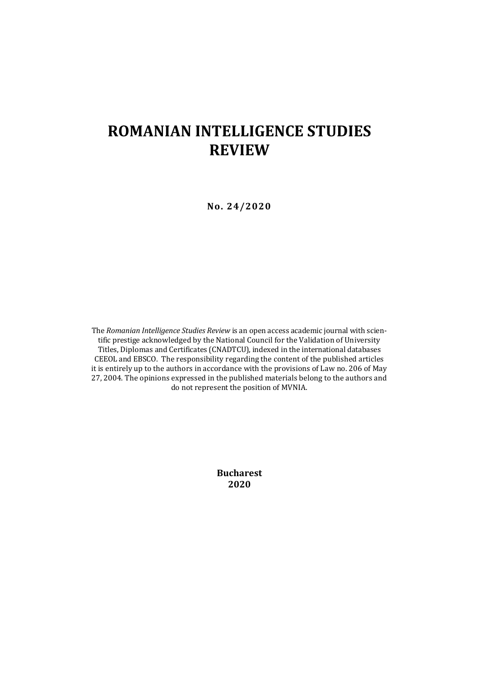# **ROMANIAN INTELLIGENCE STUDIES REVIEW**

**No. 24/2020**

The *Romanian Intelligence Studies Review* is an open access academic journal with scientific prestige acknowledged by the National Council for the Validation of University Titles, Diplomas and Certificates (CNADTCU), indexed in the international databases CEEOL and EBSCO. The responsibility regarding the content of the published articles it is entirely up to the authors in accordance with the provisions of Law no. 206 of May 27, 2004. The opinions expressed in the published materials belong to the authors and do not represent the position of MVNIA.

> **Bucharest 2020**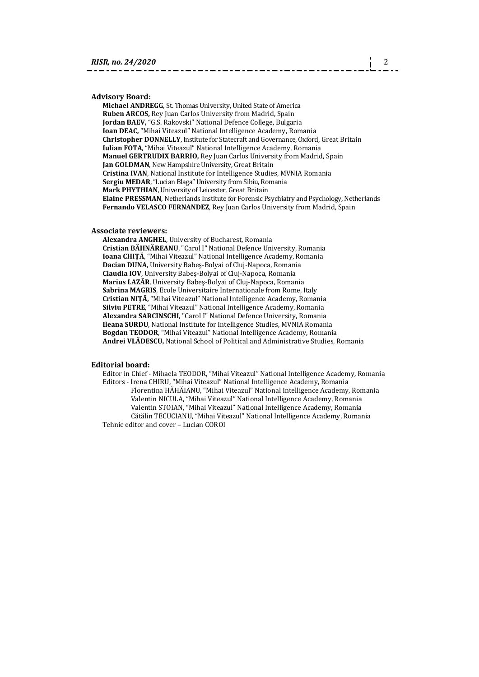### **Advisory Board:**

**Michael ANDREGG**, St. Thomas University, United State of America **Ruben ARCOS,** Rey Juan Carlos University from Madrid, Spain **Jordan BAEV,** "G.S. Rakovski" National Defence College, Bulgaria **Ioan DEAC,** "Mihai Viteazul" National Intelligence Academy, Romania **Christopher DONNELLY**, Institute for Statecraft and Governance, Oxford, Great Britain **Iulian FOTA**, "Mihai Viteazul" National Intelligence Academy, Romania **Manuel GERTRUDIX BARRIO,** Rey Juan Carlos University from Madrid, Spain **Jan GOLDMAN**, New Hampshire University, Great Britain **Cristina IVAN**, National Institute for Intelligence Studies, MVNIA Romania **Sergiu MEDAR**, "Lucian Blaga" University from Sibiu, Romania **Mark PHYTHIAN**, University of Leicester, Great Britain **Elaine PRESSMAN**, Netherlands Institute for Forensic Psychiatry and Psychology, Netherlands **Fernando VELASCO FERNANDEZ**, Rey Juan Carlos University from Madrid, Spain

#### **Associate reviewers:**

**Alexandra ANGHEL**, University of Bucharest, Romania **Cristian BĂHNĂREANU**, "Carol I" National Defence University, Romania **Ioana CHIȚĂ**, "Mihai Viteazul" National Intelligence Academy, Romania **Dacian DUNA**, University Babeş-Bolyai of Cluj-Napoca, Romania **Claudia IOV**, University Babeş-Bolyai of Cluj-Napoca, Romania **Marius LAZĂR**, University Babeş-Bolyai of Cluj-Napoca, Romania **Sabrina MAGRIS**, Ecole Universitaire Internationale from Rome, Italy **Cristian NIŢĂ,** "Mihai Viteazul" National Intelligence Academy, Romania **Silviu PETRE**, "Mihai Viteazul" National Intelligence Academy, Romania **Alexandra SARCINSCHI**, "Carol I" National Defence University, Romania **Ileana SURDU**, National Institute for Intelligence Studies, MVNIA Romania **Bogdan TEODOR**, "Mihai Viteazul" National Intelligence Academy, Romania **Andrei VLĂDESCU,** National School of Political and Administrative Studies, Romania

#### **Editorial board:**

Editor in Chief - Mihaela TEODOR, "Mihai Viteazul" National Intelligence Academy, Romania Editors - Irena CHIRU, "Mihai Viteazul" National Intelligence Academy, Romania Florentina HĂHĂIANU, "Mihai Viteazul" National Intelligence Academy, Romania Valentin NICULA, "Mihai Viteazul" National Intelligence Academy, Romania Valentin STOIAN, "Mihai Viteazul" National Intelligence Academy, Romania Cătălin TECUCIANU, "Mihai Viteazul" National Intelligence Academy, Romania Tehnic editor and cover – Lucian COROI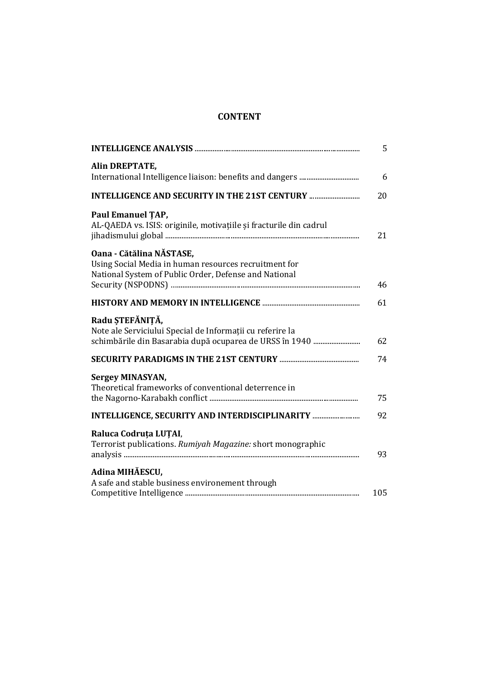## **CONTENT**

|                                                                                                                                            | 5   |
|--------------------------------------------------------------------------------------------------------------------------------------------|-----|
| <b>Alin DREPTATE,</b>                                                                                                                      | 6   |
| <b>INTELLIGENCE AND SECURITY IN THE 21ST CENTURY </b>                                                                                      | 20  |
| Paul Emanuel TAP,<br>AL-QAEDA vs. ISIS: originile, motivațiile și fracturile din cadrul                                                    | 21  |
| Oana - Cătălina NĂSTASE,<br>Using Social Media in human resources recruitment for<br>National System of Public Order, Defense and National | 46  |
|                                                                                                                                            | 61  |
| Radu ȘTEFĂNIȚĂ,<br>Note ale Serviciului Special de Informații cu referire la                                                               | 62  |
|                                                                                                                                            | 74  |
| Sergey MINASYAN,<br>Theoretical frameworks of conventional deterrence in                                                                   | 75  |
| INTELLIGENCE, SECURITY AND INTERDISCIPLINARITY                                                                                             | 92  |
| Raluca Codruța LUȚAI,<br>Terrorist publications. Rumiyah Magazine: short monographic                                                       | 93  |
| Adina MIHĂESCU.<br>A safe and stable business environement through                                                                         |     |
|                                                                                                                                            | 105 |